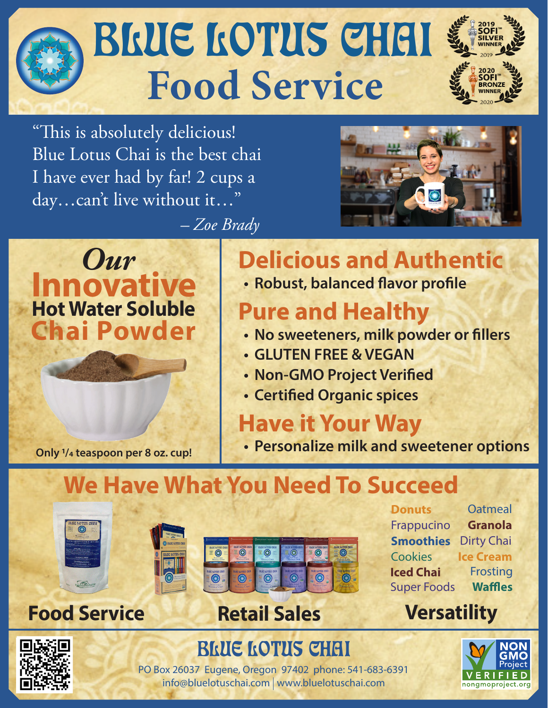# BRUE LOTUS CHAI **Food Service**

*– Zoe Brady*

"This is absolutely delicious! Blue Lotus Chai is the best chai I have ever had by far! 2 cups a day…can't live without it…"





## **Delicious and Authentic**

**• Robust, balanced flavor profile**

### **Pure and Healthy**

- **• No sweeteners, milk powder or fillers**
- **GLUTEN FREE & VEGAN**
- **• Non-GMO Project Verified**
- **• Certified Organic spices**

### **Have it Your Way**

**Only 1/4 teaspoon per 8 oz. cup!**

**• Personalize milk and sweetener options**

## **We Have What You Need To Succeed**





### **Food Service Retail Sales Versatility**







#### PO Box 26037 Eugene, Oregon 97402 phone: 541-683-6391 info@bluelotuschai.com www.bluelotuschai.com

**BLUE LOTUS CHAI**